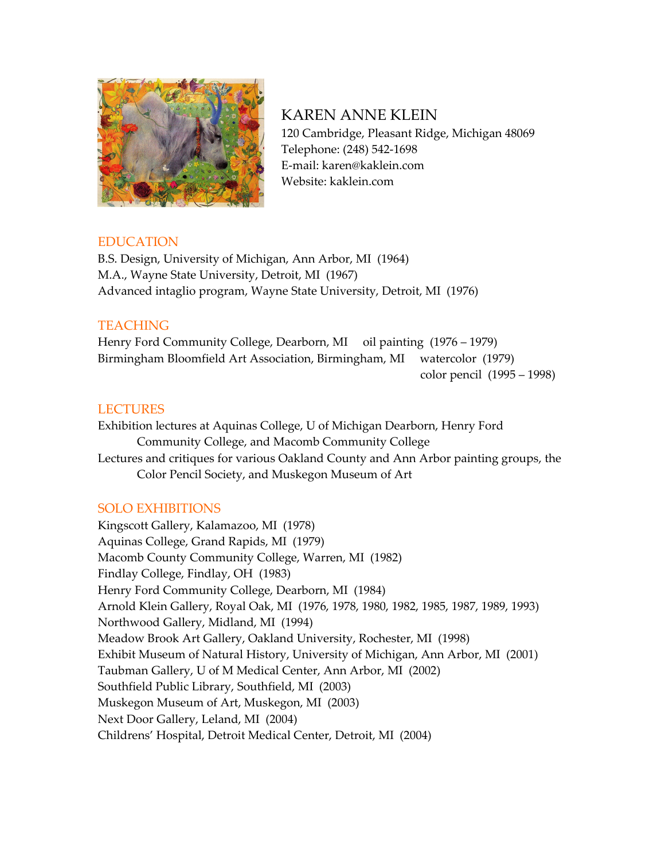

KAREN ANNE KLEIN 120 Cambridge, Pleasant Ridge, Michigan 48069 Telephone: (248) 542-1698 E-mail: karen@kaklein.com Website: kaklein.com

# EDUCATION

B.S. Design, University of Michigan, Ann Arbor, MI (1964) M.A., Wayne State University, Detroit, MI (1967) Advanced intaglio program, Wayne State University, Detroit, MI (1976)

## **TEACHING**

Henry Ford Community College, Dearborn, MI oil painting (1976 – 1979) Birmingham Bloomfield Art Association, Birmingham, MI watercolor (1979)

color pencil (1995 – 1998)

# LECTURES

Exhibition lectures at Aquinas College, U of Michigan Dearborn, Henry Ford Community College, and Macomb Community College Lectures and critiques for various Oakland County and Ann Arbor painting groups, the Color Pencil Society, and Muskegon Museum of Art

## SOLO EXHIBITIONS

Kingscott Gallery, Kalamazoo, MI (1978) Aquinas College, Grand Rapids, MI (1979) Macomb County Community College, Warren, MI (1982) Findlay College, Findlay, OH (1983) Henry Ford Community College, Dearborn, MI (1984) Arnold Klein Gallery, Royal Oak, MI (1976, 1978, 1980, 1982, 1985, 1987, 1989, 1993) Northwood Gallery, Midland, MI (1994) Meadow Brook Art Gallery, Oakland University, Rochester, MI (1998) Exhibit Museum of Natural History, University of Michigan, Ann Arbor, MI (2001) Taubman Gallery, U of M Medical Center, Ann Arbor, MI (2002) Southfield Public Library, Southfield, MI (2003) Muskegon Museum of Art, Muskegon, MI (2003) Next Door Gallery, Leland, MI (2004) Childrens' Hospital, Detroit Medical Center, Detroit, MI (2004)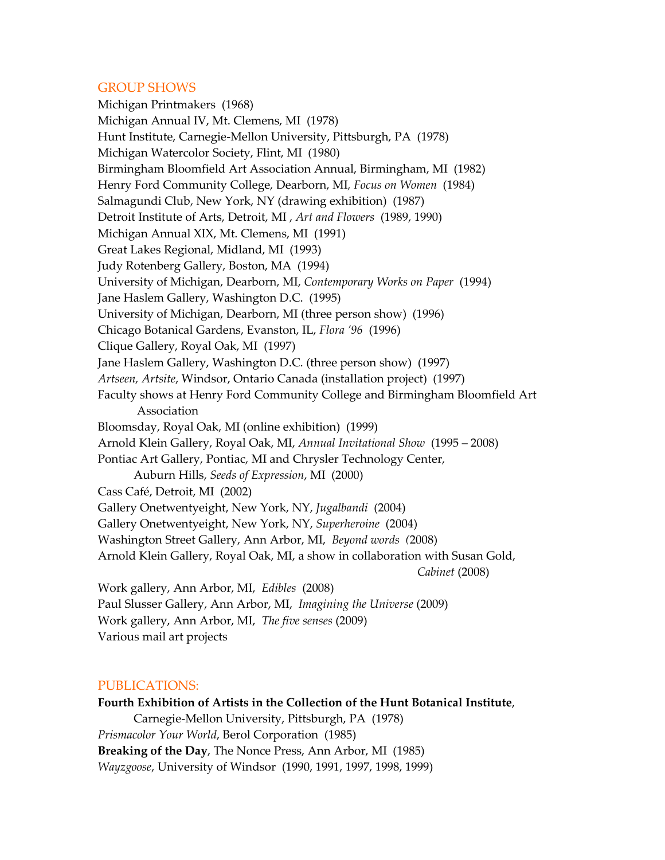### GROUP SHOWS

Michigan Printmakers (1968) Michigan Annual IV, Mt. Clemens, MI (1978) Hunt Institute, Carnegie-Mellon University, Pittsburgh, PA (1978) Michigan Watercolor Society, Flint, MI (1980) Birmingham Bloomfield Art Association Annual, Birmingham, MI (1982) Henry Ford Community College, Dearborn, MI*, Focus on Women* (1984) Salmagundi Club, New York, NY (drawing exhibition) (1987) Detroit Institute of Arts, Detroit, MI , *Art and Flowers* (1989, 1990) Michigan Annual XIX, Mt. Clemens, MI (1991) Great Lakes Regional, Midland, MI (1993) Judy Rotenberg Gallery, Boston, MA (1994) University of Michigan, Dearborn, MI, *Contemporary Works on Paper* (1994) Jane Haslem Gallery, Washington D.C. (1995) University of Michigan, Dearborn, MI (three person show) (1996) Chicago Botanical Gardens, Evanston, IL, *Flora '96* (1996) Clique Gallery, Royal Oak, MI (1997) Jane Haslem Gallery, Washington D.C. (three person show) (1997) *Artseen, Artsite*, Windsor, Ontario Canada (installation project) (1997) Faculty shows at Henry Ford Community College and Birmingham Bloomfield Art Association Bloomsday, Royal Oak, MI (online exhibition) (1999) Arnold Klein Gallery, Royal Oak, MI, *Annual Invitational Show* (1995 – 2008) Pontiac Art Gallery, Pontiac, MI and Chrysler Technology Center, Auburn Hills, *Seeds of Expression*, MI (2000) Cass Café, Detroit, MI (2002) Gallery Onetwentyeight, New York, NY, *Jugalbandi* (2004) Gallery Onetwentyeight, New York, NY, *Superheroine* (2004) Washington Street Gallery, Ann Arbor, MI, *Beyond words (*2008) Arnold Klein Gallery, Royal Oak, MI, a show in collaboration with Susan Gold, *Cabinet* (2008) Work gallery, Ann Arbor, MI, *Edibles* (2008) Paul Slusser Gallery, Ann Arbor, MI, *Imagining the Universe* (2009) Work gallery, Ann Arbor, MI, *The five senses* (2009)

### Various mail art projects

### PUBLICATIONS:

**Fourth Exhibition of Artists in the Collection of the Hunt Botanical Institute**, Carnegie-Mellon University, Pittsburgh, PA (1978) *Prismacolor Your World*, Berol Corporation (1985) **Breaking of the Day**, The Nonce Press, Ann Arbor, MI (1985) *Wayzgoose*, University of Windsor (1990, 1991, 1997, 1998, 1999)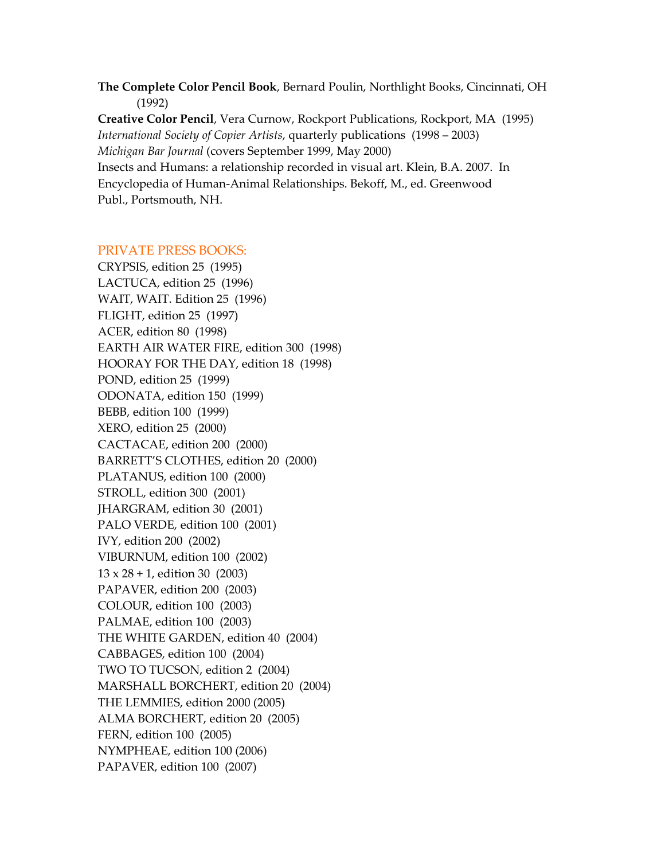**The Complete Color Pencil Book**, Bernard Poulin, Northlight Books, Cincinnati, OH (1992)

**Creative Color Pencil**, Vera Curnow, Rockport Publications, Rockport, MA (1995) *International Society of Copier Artists*, quarterly publications (1998 – 2003) *Michigan Bar Journal* (covers September 1999, May 2000) Insects and Humans: a relationship recorded in visual art. Klein, B.A. 2007. In Encyclopedia of Human-Animal Relationships. Bekoff, M., ed. Greenwood Publ., Portsmouth, NH.

### PRIVATE PRESS BOOKS:

CRYPSIS, edition 25 (1995) LACTUCA, edition 25 (1996) WAIT, WAIT. Edition 25 (1996) FLIGHT, edition 25 (1997) ACER, edition 80 (1998) EARTH AIR WATER FIRE, edition 300 (1998) HOORAY FOR THE DAY, edition 18 (1998) POND, edition 25 (1999) ODONATA, edition 150 (1999) BEBB, edition 100 (1999) XERO, edition 25 (2000) CACTACAE, edition 200 (2000) BARRETT'S CLOTHES, edition 20 (2000) PLATANUS, edition 100 (2000) STROLL, edition 300 (2001) JHARGRAM, edition 30 (2001) PALO VERDE, edition 100 (2001) IVY, edition 200 (2002) VIBURNUM, edition 100 (2002) 13 x 28 + 1, edition 30 (2003) PAPAVER, edition 200 (2003) COLOUR, edition 100 (2003) PALMAE, edition 100 (2003) THE WHITE GARDEN, edition 40 (2004) CABBAGES, edition 100 (2004) TWO TO TUCSON, edition 2 (2004) MARSHALL BORCHERT, edition 20 (2004) THE LEMMIES, edition 2000 (2005) ALMA BORCHERT, edition 20 (2005) FERN, edition 100 (2005) NYMPHEAE, edition 100 (2006) PAPAVER, edition 100 (2007)